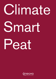# Climate Smart Peat

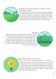

# It is about time we look at peat as a biofuel - for the environments sake!

New research into peat and peat lands shows that drained peat lands are leaking huge amounts of carbon dioxide into the atmosphere. Of no use. The leakage is so large that it exceeds the total carbon dioxide emissions from all domestic traffic in Sweden. It is a problem and we have the solution. By harvesting the renewable resource - peat from drained peat lands - we see to that it can come to good used.

#### Peat grow

Peat is formed by soil becoming saturated with water or by lakes overgrowing. Parts from plants that are on the ground and parts from plants added to the ground will degrade under moist conditions with a low oxygen content, or in some cases, under conditions which are totally deprived of oxygen. The plant parts form a layer of peat that spreads and covers the underlying mineral soil. When the peat depth exceeds 30 cm, the term "peat land" is used to describe the land surface.

### Material with a great variety of uses

Peat is used as fuel in district heating plants, it is a component in garden soil mixtures, it can be made into active carbon, it is used in water filters and it can be refined into biofuel for cars, trucks and busses. When peat is used in district heating plants it eliminates the need for adding sulfur to keep the boiler clean (since it is naturally occurring in peat). Peat also raises the efficiency in district heating plants when combined with wood fuel.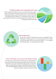## Creating healthy and sustainable land areas

When harvesting of peat has come to an end the land area is given back to nature after it has been restored. All of our harvested peat lands goes through a post treatment process in which it is turned into healthy forests, wetlands or a combination of both. With our post treatment the land can once again start to bind carbon from the atmosphere and the leak cease.

#### Renewable peat

Are you also under the impression that peat is renewable? Good. Peatlands in Sweden grow at a rate much greater than the overall harvest and usage. That is how we want to keep it  $-$  it is a sensible and sustainable part of a responsible peat industry.

#### Count with peat in your year-end climate closing

The short story is that when we harvest peat we also eliminate a leak of harmful greenhouse gases and prepare land area for post treatment. In your year-end climate closing report, you have the option to subtract the prevention of greenhouse gas emissions from leaking peatlands in relation to your use. If you are unsure about the numbers, contact us and we will help.